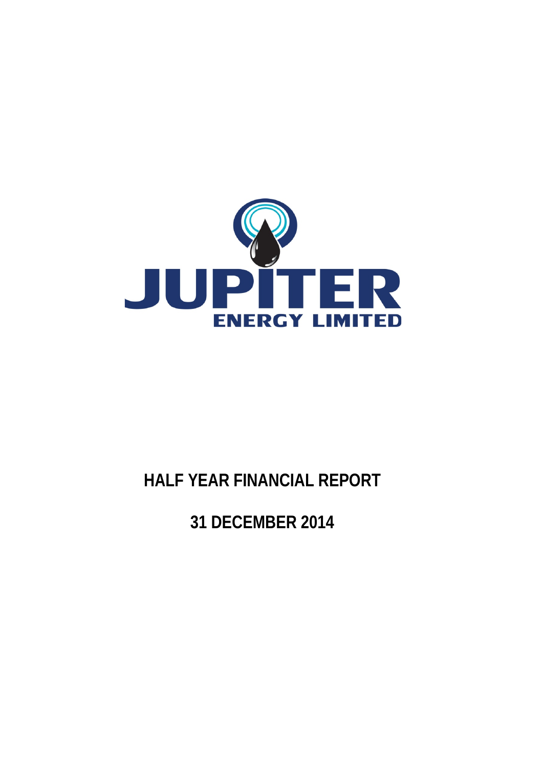

# **HALF YEAR FINANCIAL REPORT**

**31 DECEMBER 2014**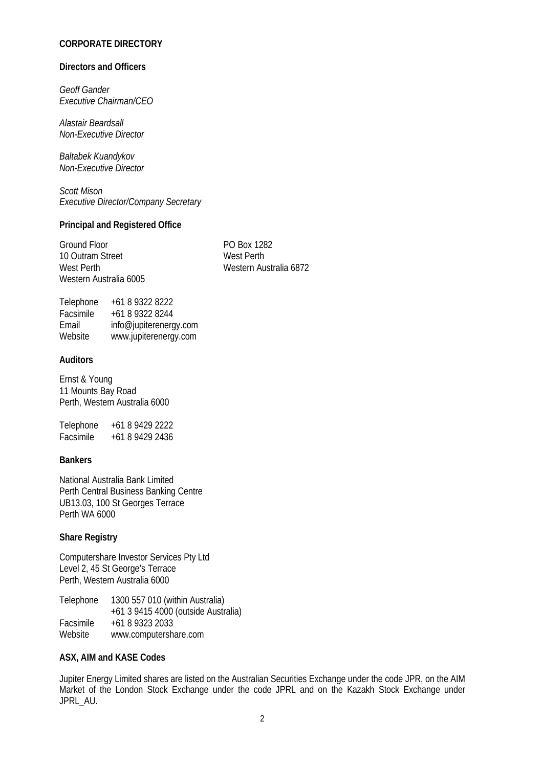## **CORPORATE DIRECTORY**

## **Directors and Officers**

*Geoff Gander Executive Chairman/CEO*

*Alastair Beardsall Non-Executive Director*

*Baltabek Kuandykov Non-Executive Director*

*Scott Mison Executive Director/Company Secretary* 

## **Principal and Registered Office**

Ground Floor **PO Box 1282**<br>10 Outram Street **PO Box 1282** 10 Outram Street West Perth Western Australia 6005

Western Australia 6872

| Telephone | +61 8 9322 8222        |
|-----------|------------------------|
| Facsimile | +61 8 9322 8244        |
| Email     | info@jupiterenergy.com |
| Website   | www.jupiterenergy.com  |

## **Auditors**

Ernst & Young 11 Mounts Bay Road Perth, Western Australia 6000

Telephone +61 8 9429 2222<br>Facsimile +61 8 9429 2436 Facsimile +61 8 9429 2436

## **Bankers**

National Australia Bank Limited Perth Central Business Banking Centre UB13.03, 100 St Georges Terrace Perth WA 6000

## **Share Registry**

Computershare Investor Services Pty Ltd Level 2, 45 St George's Terrace Perth, Western Australia 6000

Telephone 1300 557 010 (within Australia) +61 3 9415 4000 (outside Australia) Facsimile +61 8 9323 2033 Website www.computershare.com

## **ASX, AIM and KASE Codes**

Jupiter Energy Limited shares are listed on the Australian Securities Exchange under the code JPR, on the AIM Market of the London Stock Exchange under the code JPRL and on the Kazakh Stock Exchange under JPRL\_AU.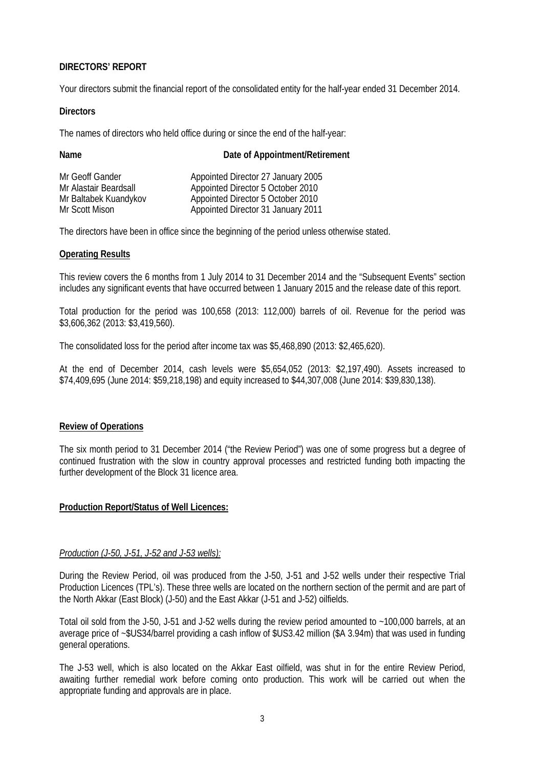## **DIRECTORS' REPORT**

Your directors submit the financial report of the consolidated entity for the half-year ended 31 December 2014.

## **Directors**

The names of directors who held office during or since the end of the half-year:

**Name Date of Appointment/Retirement** 

| Mr Geoff Gander<br>Mr Alastair Beardsall | Appointed Director 27 January 2005<br>Appointed Director 5 October 2010 |
|------------------------------------------|-------------------------------------------------------------------------|
| Mr Baltabek Kuandykov                    | Appointed Director 5 October 2010                                       |
| Mr Scott Mison                           | Appointed Director 31 January 2011                                      |

The directors have been in office since the beginning of the period unless otherwise stated.

## **Operating Results**

This review covers the 6 months from 1 July 2014 to 31 December 2014 and the "Subsequent Events" section includes any significant events that have occurred between 1 January 2015 and the release date of this report.

Total production for the period was 100,658 (2013: 112,000) barrels of oil. Revenue for the period was \$3,606,362 (2013: \$3,419,560).

The consolidated loss for the period after income tax was \$5,468,890 (2013: \$2,465,620).

At the end of December 2014, cash levels were \$5,654,052 (2013: \$2,197,490). Assets increased to \$74,409,695 (June 2014: \$59,218,198) and equity increased to \$44,307,008 (June 2014: \$39,830,138).

## **Review of Operations**

The six month period to 31 December 2014 ("the Review Period") was one of some progress but a degree of continued frustration with the slow in country approval processes and restricted funding both impacting the further development of the Block 31 licence area.

## **Production Report/Status of Well Licences:**

## *Production (J-50, J-51, J-52 and J-53 wells):*

During the Review Period, oil was produced from the J-50, J-51 and J-52 wells under their respective Trial Production Licences (TPL's). These three wells are located on the northern section of the permit and are part of the North Akkar (East Block) (J-50) and the East Akkar (J-51 and J-52) oilfields.

Total oil sold from the J-50, J-51 and J-52 wells during the review period amounted to ~100,000 barrels, at an average price of ~\$US34/barrel providing a cash inflow of \$US3.42 million (\$A 3.94m) that was used in funding general operations.

The J-53 well, which is also located on the Akkar East oilfield, was shut in for the entire Review Period, awaiting further remedial work before coming onto production. This work will be carried out when the appropriate funding and approvals are in place.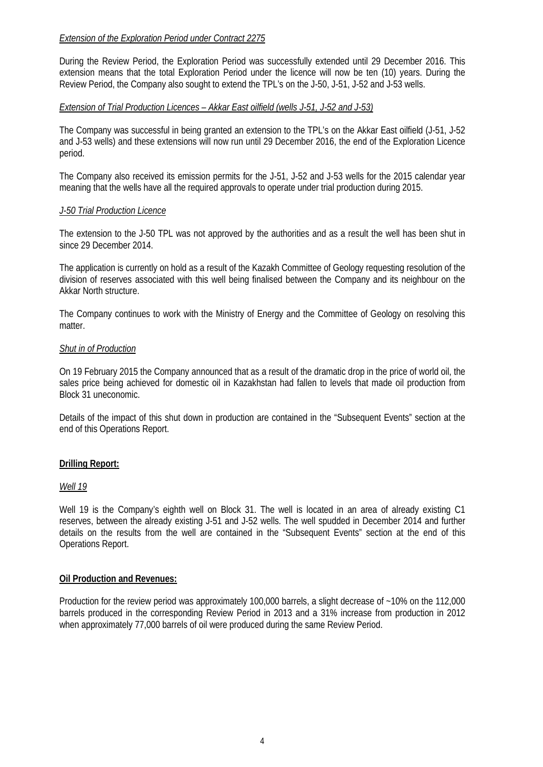## *Extension of the Exploration Period under Contract 2275*

During the Review Period, the Exploration Period was successfully extended until 29 December 2016. This extension means that the total Exploration Period under the licence will now be ten (10) years. During the Review Period, the Company also sought to extend the TPL's on the J-50, J-51, J-52 and J-53 wells.

## *Extension of Trial Production Licences – Akkar East oilfield (wells J-51, J-52 and J-53)*

The Company was successful in being granted an extension to the TPL's on the Akkar East oilfield (J-51, J-52 and J-53 wells) and these extensions will now run until 29 December 2016, the end of the Exploration Licence period.

The Company also received its emission permits for the J-51, J-52 and J-53 wells for the 2015 calendar year meaning that the wells have all the required approvals to operate under trial production during 2015.

## *J-50 Trial Production Licence*

The extension to the J-50 TPL was not approved by the authorities and as a result the well has been shut in since 29 December 2014.

The application is currently on hold as a result of the Kazakh Committee of Geology requesting resolution of the division of reserves associated with this well being finalised between the Company and its neighbour on the Akkar North structure.

The Company continues to work with the Ministry of Energy and the Committee of Geology on resolving this matter.

## *Shut in of Production*

On 19 February 2015 the Company announced that as a result of the dramatic drop in the price of world oil, the sales price being achieved for domestic oil in Kazakhstan had fallen to levels that made oil production from Block 31 uneconomic.

Details of the impact of this shut down in production are contained in the "Subsequent Events" section at the end of this Operations Report.

## **Drilling Report:**

#### *Well 19*

Well 19 is the Company's eighth well on Block 31. The well is located in an area of already existing C1 reserves, between the already existing J-51 and J-52 wells. The well spudded in December 2014 and further details on the results from the well are contained in the "Subsequent Events" section at the end of this Operations Report.

## **Oil Production and Revenues:**

Production for the review period was approximately 100,000 barrels, a slight decrease of ~10% on the 112,000 barrels produced in the corresponding Review Period in 2013 and a 31% increase from production in 2012 when approximately 77,000 barrels of oil were produced during the same Review Period.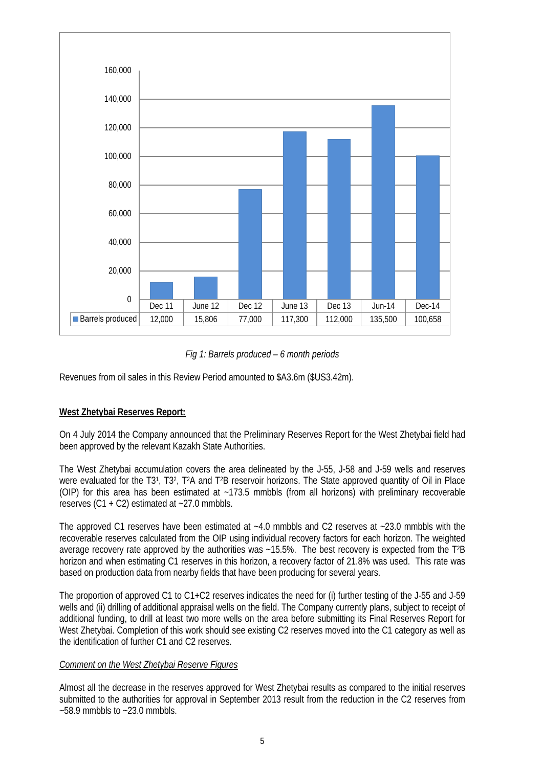

*Fig 1: Barrels produced – 6 month periods*

Revenues from oil sales in this Review Period amounted to \$A3.6m (\$US3.42m).

## **West Zhetybai Reserves Report:**

On 4 July 2014 the Company announced that the Preliminary Reserves Report for the West Zhetybai field had been approved by the relevant Kazakh State Authorities.

The West Zhetybai accumulation covers the area delineated by the J-55, J-58 and J-59 wells and reserves were evaluated for the T3<sup>1</sup>, T3<sup>2</sup>, T<sup>2</sup>A and T<sup>2</sup>B reservoir horizons. The State approved quantity of Oil in Place (OIP) for this area has been estimated at ~173.5 mmbbls (from all horizons) with preliminary recoverable reserves  $(C1 + C2)$  estimated at ~27.0 mmbbls.

The approved C1 reserves have been estimated at ~4.0 mmbbls and C2 reserves at ~23.0 mmbbls with the recoverable reserves calculated from the OIP using individual recovery factors for each horizon. The weighted average recovery rate approved by the authorities was ~15.5%. The best recovery is expected from the T2B horizon and when estimating C1 reserves in this horizon, a recovery factor of 21.8% was used. This rate was based on production data from nearby fields that have been producing for several years.

The proportion of approved C1 to C1+C2 reserves indicates the need for (i) further testing of the J-55 and J-59 wells and (ii) drilling of additional appraisal wells on the field. The Company currently plans, subject to receipt of additional funding, to drill at least two more wells on the area before submitting its Final Reserves Report for West Zhetybai. Completion of this work should see existing C2 reserves moved into the C1 category as well as the identification of further C1 and C2 reserves.

## *Comment on the West Zhetybai Reserve Figures*

Almost all the decrease in the reserves approved for West Zhetybai results as compared to the initial reserves submitted to the authorities for approval in September 2013 result from the reduction in the C2 reserves from  $~58.9$  mmbbls to  $~23.0$  mmbbls.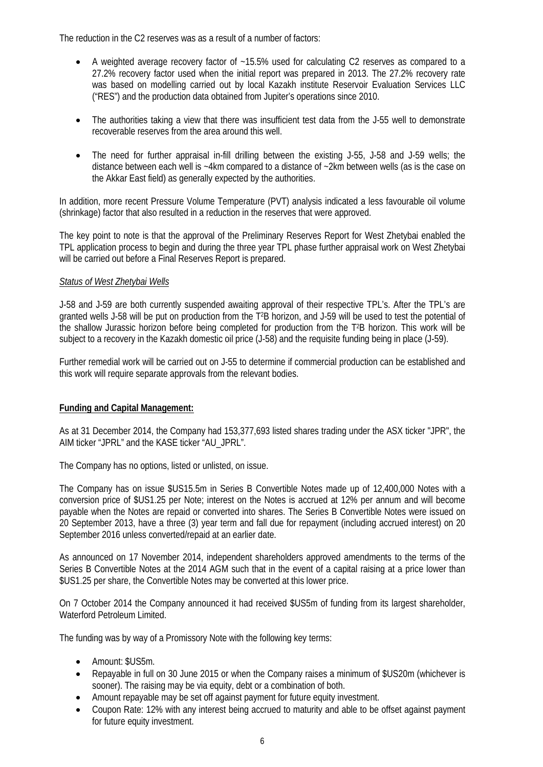The reduction in the C2 reserves was as a result of a number of factors:

- A weighted average recovery factor of ~15.5% used for calculating C2 reserves as compared to a 27.2% recovery factor used when the initial report was prepared in 2013. The 27.2% recovery rate was based on modelling carried out by local Kazakh institute Reservoir Evaluation Services LLC ("RES") and the production data obtained from Jupiter's operations since 2010.
- The authorities taking a view that there was insufficient test data from the J-55 well to demonstrate recoverable reserves from the area around this well.
- The need for further appraisal in-fill drilling between the existing J-55, J-58 and J-59 wells; the distance between each well is ~4km compared to a distance of ~2km between wells (as is the case on the Akkar East field) as generally expected by the authorities.

In addition, more recent Pressure Volume Temperature (PVT) analysis indicated a less favourable oil volume (shrinkage) factor that also resulted in a reduction in the reserves that were approved.

The key point to note is that the approval of the Preliminary Reserves Report for West Zhetybai enabled the TPL application process to begin and during the three year TPL phase further appraisal work on West Zhetybai will be carried out before a Final Reserves Report is prepared.

## *Status of West Zhetybai Wells*

J-58 and J-59 are both currently suspended awaiting approval of their respective TPL's. After the TPL's are granted wells J-58 will be put on production from the T2B horizon, and J-59 will be used to test the potential of the shallow Jurassic horizon before being completed for production from the T2B horizon. This work will be subject to a recovery in the Kazakh domestic oil price (J-58) and the requisite funding being in place (J-59).

Further remedial work will be carried out on J-55 to determine if commercial production can be established and this work will require separate approvals from the relevant bodies.

## **Funding and Capital Management:**

As at 31 December 2014, the Company had 153,377,693 listed shares trading under the ASX ticker "JPR", the AIM ticker "JPRL" and the KASE ticker "AU\_JPRL".

The Company has no options, listed or unlisted, on issue.

The Company has on issue \$US15.5m in Series B Convertible Notes made up of 12,400,000 Notes with a conversion price of \$US1.25 per Note; interest on the Notes is accrued at 12% per annum and will become payable when the Notes are repaid or converted into shares. The Series B Convertible Notes were issued on 20 September 2013, have a three (3) year term and fall due for repayment (including accrued interest) on 20 September 2016 unless converted/repaid at an earlier date.

As announced on 17 November 2014, independent shareholders approved amendments to the terms of the Series B Convertible Notes at the 2014 AGM such that in the event of a capital raising at a price lower than \$US1.25 per share, the Convertible Notes may be converted at this lower price.

On 7 October 2014 the Company announced it had received \$US5m of funding from its largest shareholder, Waterford Petroleum Limited.

The funding was by way of a Promissory Note with the following key terms:

- Amount: \$US5m.
- Repayable in full on 30 June 2015 or when the Company raises a minimum of \$US20m (whichever is sooner). The raising may be via equity, debt or a combination of both.
- Amount repayable may be set off against payment for future equity investment.
- Coupon Rate: 12% with any interest being accrued to maturity and able to be offset against payment for future equity investment.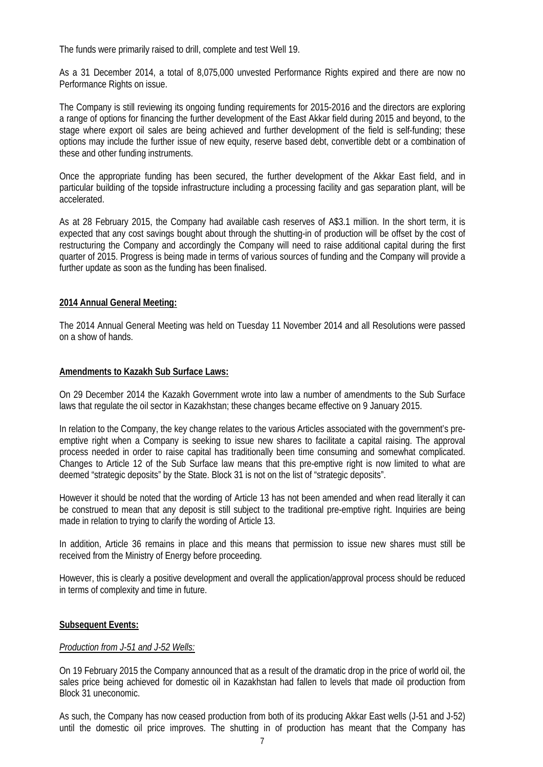The funds were primarily raised to drill, complete and test Well 19.

As a 31 December 2014, a total of 8,075,000 unvested Performance Rights expired and there are now no Performance Rights on issue.

The Company is still reviewing its ongoing funding requirements for 2015-2016 and the directors are exploring a range of options for financing the further development of the East Akkar field during 2015 and beyond, to the stage where export oil sales are being achieved and further development of the field is self-funding; these options may include the further issue of new equity, reserve based debt, convertible debt or a combination of these and other funding instruments.

Once the appropriate funding has been secured, the further development of the Akkar East field, and in particular building of the topside infrastructure including a processing facility and gas separation plant, will be accelerated.

As at 28 February 2015, the Company had available cash reserves of A\$3.1 million. In the short term, it is expected that any cost savings bought about through the shutting-in of production will be offset by the cost of restructuring the Company and accordingly the Company will need to raise additional capital during the first quarter of 2015. Progress is being made in terms of various sources of funding and the Company will provide a further update as soon as the funding has been finalised.

## **2014 Annual General Meeting:**

The 2014 Annual General Meeting was held on Tuesday 11 November 2014 and all Resolutions were passed on a show of hands.

## **Amendments to Kazakh Sub Surface Laws:**

On 29 December 2014 the Kazakh Government wrote into law a number of amendments to the Sub Surface laws that regulate the oil sector in Kazakhstan; these changes became effective on 9 January 2015.

In relation to the Company, the key change relates to the various Articles associated with the government's preemptive right when a Company is seeking to issue new shares to facilitate a capital raising. The approval process needed in order to raise capital has traditionally been time consuming and somewhat complicated. Changes to Article 12 of the Sub Surface law means that this pre-emptive right is now limited to what are deemed "strategic deposits" by the State. Block 31 is not on the list of "strategic deposits".

However it should be noted that the wording of Article 13 has not been amended and when read literally it can be construed to mean that any deposit is still subject to the traditional pre-emptive right. Inquiries are being made in relation to trying to clarify the wording of Article 13.

In addition, Article 36 remains in place and this means that permission to issue new shares must still be received from the Ministry of Energy before proceeding.

However, this is clearly a positive development and overall the application/approval process should be reduced in terms of complexity and time in future.

## **Subsequent Events:**

## *Production from J-51 and J-52 Wells:*

On 19 February 2015 the Company announced that as a result of the dramatic drop in the price of world oil, the sales price being achieved for domestic oil in Kazakhstan had fallen to levels that made oil production from Block 31 uneconomic.

As such, the Company has now ceased production from both of its producing Akkar East wells (J-51 and J-52) until the domestic oil price improves. The shutting in of production has meant that the Company has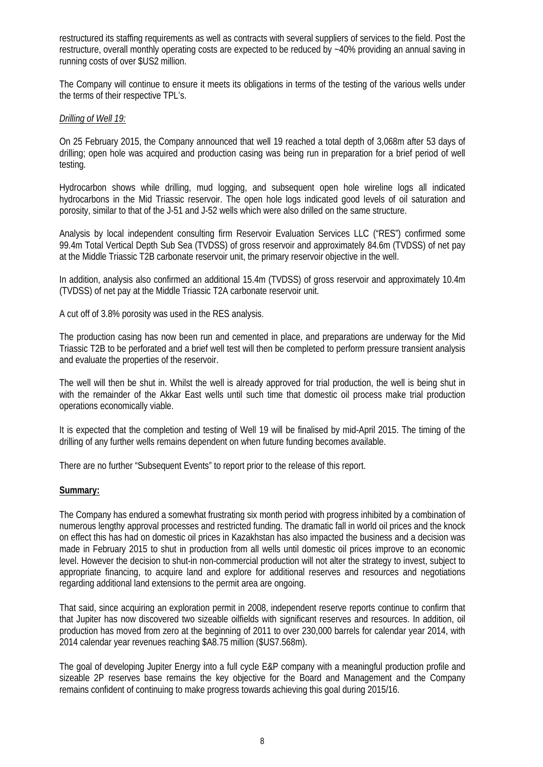restructured its staffing requirements as well as contracts with several suppliers of services to the field. Post the restructure, overall monthly operating costs are expected to be reduced by ~40% providing an annual saving in running costs of over \$US2 million.

The Company will continue to ensure it meets its obligations in terms of the testing of the various wells under the terms of their respective TPL's.

## *Drilling of Well 19:*

On 25 February 2015, the Company announced that well 19 reached a total depth of 3,068m after 53 days of drilling; open hole was acquired and production casing was being run in preparation for a brief period of well testing.

Hydrocarbon shows while drilling, mud logging, and subsequent open hole wireline logs all indicated hydrocarbons in the Mid Triassic reservoir. The open hole logs indicated good levels of oil saturation and porosity, similar to that of the J-51 and J-52 wells which were also drilled on the same structure.

Analysis by local independent consulting firm Reservoir Evaluation Services LLC ("RES") confirmed some 99.4m Total Vertical Depth Sub Sea (TVDSS) of gross reservoir and approximately 84.6m (TVDSS) of net pay at the Middle Triassic T2B carbonate reservoir unit, the primary reservoir objective in the well.

In addition, analysis also confirmed an additional 15.4m (TVDSS) of gross reservoir and approximately 10.4m (TVDSS) of net pay at the Middle Triassic T2A carbonate reservoir unit.

A cut off of 3.8% porosity was used in the RES analysis.

The production casing has now been run and cemented in place, and preparations are underway for the Mid Triassic T2B to be perforated and a brief well test will then be completed to perform pressure transient analysis and evaluate the properties of the reservoir.

The well will then be shut in. Whilst the well is already approved for trial production, the well is being shut in with the remainder of the Akkar East wells until such time that domestic oil process make trial production operations economically viable.

It is expected that the completion and testing of Well 19 will be finalised by mid-April 2015. The timing of the drilling of any further wells remains dependent on when future funding becomes available.

There are no further "Subsequent Events" to report prior to the release of this report.

## **Summary:**

The Company has endured a somewhat frustrating six month period with progress inhibited by a combination of numerous lengthy approval processes and restricted funding. The dramatic fall in world oil prices and the knock on effect this has had on domestic oil prices in Kazakhstan has also impacted the business and a decision was made in February 2015 to shut in production from all wells until domestic oil prices improve to an economic level. However the decision to shut-in non-commercial production will not alter the strategy to invest, subject to appropriate financing, to acquire land and explore for additional reserves and resources and negotiations regarding additional land extensions to the permit area are ongoing.

That said, since acquiring an exploration permit in 2008, independent reserve reports continue to confirm that that Jupiter has now discovered two sizeable oilfields with significant reserves and resources. In addition, oil production has moved from zero at the beginning of 2011 to over 230,000 barrels for calendar year 2014, with 2014 calendar year revenues reaching \$A8.75 million (\$US7.568m).

The goal of developing Jupiter Energy into a full cycle E&P company with a meaningful production profile and sizeable 2P reserves base remains the key objective for the Board and Management and the Company remains confident of continuing to make progress towards achieving this goal during 2015/16.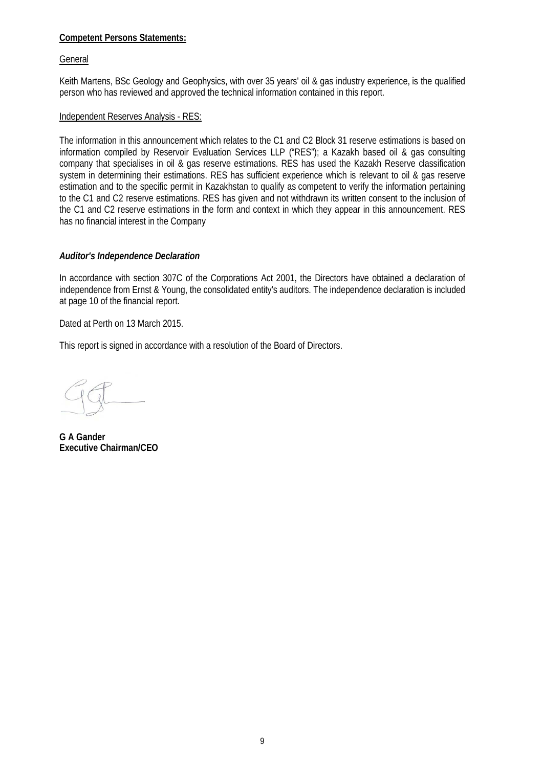## **Competent Persons Statements:**

## General

Keith Martens, BSc Geology and Geophysics, with over 35 years' oil & gas industry experience, is the qualified person who has reviewed and approved the technical information contained in this report.

## Independent Reserves Analysis - RES:

The information in this announcement which relates to the C1 and C2 Block 31 reserve estimations is based on information compiled by Reservoir Evaluation Services LLP ("RES"); a Kazakh based oil & gas consulting company that specialises in oil & gas reserve estimations. RES has used the Kazakh Reserve classification system in determining their estimations. RES has sufficient experience which is relevant to oil & gas reserve estimation and to the specific permit in Kazakhstan to qualify as competent to verify the information pertaining to the C1 and C2 reserve estimations. RES has given and not withdrawn its written consent to the inclusion of the C1 and C2 reserve estimations in the form and context in which they appear in this announcement. RES has no financial interest in the Company

## *Auditor's Independence Declaration*

In accordance with section 307C of the Corporations Act 2001, the Directors have obtained a declaration of independence from Ernst & Young, the consolidated entity's auditors. The independence declaration is included at page 10 of the financial report.

Dated at Perth on 13 March 2015.

This report is signed in accordance with a resolution of the Board of Directors.

**G A Gander Executive Chairman/CEO**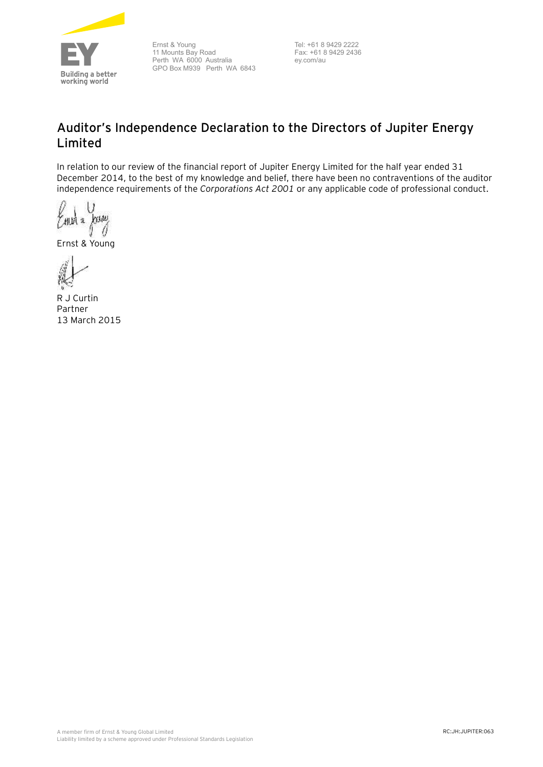

Ernst & Young 11 Mounts Bay Road Perth WA 6000 Australia GPO Box M939 Perth WA 6843

Tel: +61 8 9429 2222 Fax: +61 8 9429 2436 ey.com/au

## **Auditor's Independence Declaration to the Directors of Jupiter Energy Limited**

In relation to our review of the financial report of Jupiter Energy Limited for the half year ended 31 December 2014, to the best of my knowledge and belief, there have been no contraventions of the auditor independence requirements of the *Corporations Act 2001* or any applicable code of professional conduct.

have แห้ น

Ernst & Young

R J Curtin Partner 13 March 2015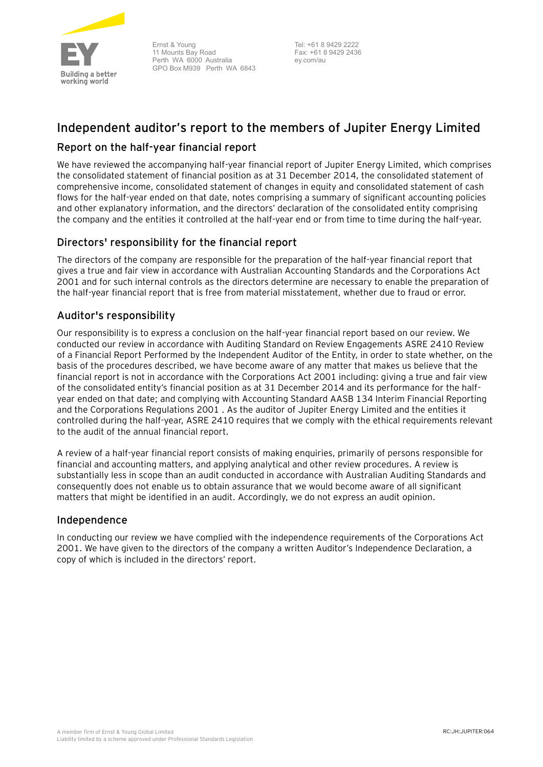

Ernst & Young 11 Mounts Bay Road Perth WA 6000 Australia GPO Box M939 Perth WA 6843

Tel: +61 8 9429 2222 Fax: +61 8 9429 2436 ey.com/au

## **Independent auditor's report to the members of Jupiter Energy Limited**

## **Report on the half-year financial report**

We have reviewed the accompanying half-year financial report of Jupiter Energy Limited, which comprises the consolidated statement of financial position as at 31 December 2014, the consolidated statement of comprehensive income, consolidated statement of changes in equity and consolidated statement of cash flows for the half-year ended on that date, notes comprising a summary of significant accounting policies and other explanatory information, and the directors' declaration of the consolidated entity comprising the company and the entities it controlled at the half-year end or from time to time during the half-year.

## **Directors' responsibility for the financial report**

The directors of the company are responsible for the preparation of the half-year financial report that gives a true and fair view in accordance with Australian Accounting Standards and the Corporations Act 2001 and for such internal controls as the directors determine are necessary to enable the preparation of the half-year financial report that is free from material misstatement, whether due to fraud or error.

## **Auditor's responsibility**

Our responsibility is to express a conclusion on the half-year financial report based on our review. We conducted our review in accordance with Auditing Standard on Review Engagements ASRE 2410 Review of a Financial Report Performed by the Independent Auditor of the Entity, in order to state whether, on the basis of the procedures described, we have become aware of any matter that makes us believe that the financial report is not in accordance with the Corporations Act 2001 including: giving a true and fair view of the consolidated entity's financial position as at 31 December 2014 and its performance for the halfyear ended on that date; and complying with Accounting Standard AASB 134 Interim Financial Reporting and the Corporations Regulations 2001 . As the auditor of Jupiter Energy Limited and the entities it controlled during the half-year, ASRE 2410 requires that we comply with the ethical requirements relevant to the audit of the annual financial report.

A review of a half-year financial report consists of making enquiries, primarily of persons responsible for financial and accounting matters, and applying analytical and other review procedures. A review is substantially less in scope than an audit conducted in accordance with Australian Auditing Standards and consequently does not enable us to obtain assurance that we would become aware of all significant matters that might be identified in an audit. Accordingly, we do not express an audit opinion.

## **Independence**

In conducting our review we have complied with the independence requirements of the Corporations Act 2001. We have given to the directors of the company a written Auditor's Independence Declaration, a copy of which is included in the directors' report.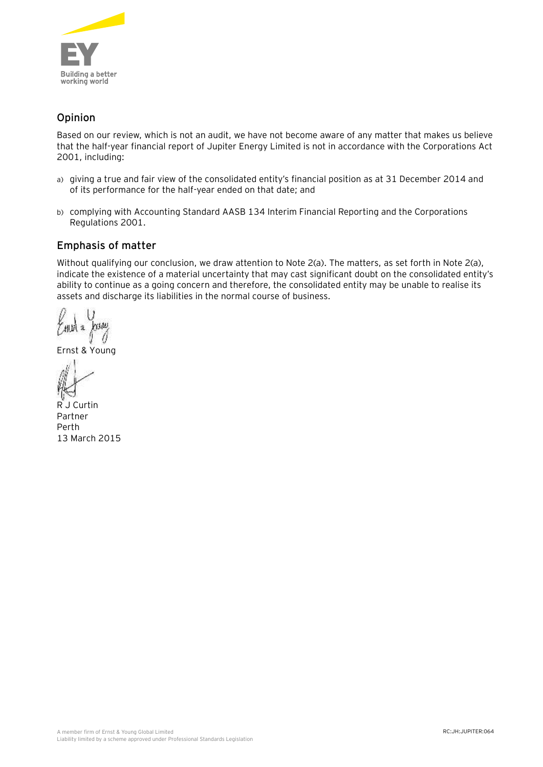

## **Opinion**

Based on our review, which is not an audit, we have not become aware of any matter that makes us believe that the half-year financial report of Jupiter Energy Limited is not in accordance with the Corporations Act 2001, including:

- a) giving a true and fair view of the consolidated entity's financial position as at 31 December 2014 and of its performance for the half-year ended on that date; and
- b) complying with Accounting Standard AASB 134 Interim Financial Reporting and the Corporations Regulations 2001.

## **Emphasis of matter**

Without qualifying our conclusion, we draw attention to Note 2(a). The matters, as set forth in Note 2(a), indicate the existence of a material uncertainty that may cast significant doubt on the consolidated entity's ability to continue as a going concern and therefore, the consolidated entity may be unable to realise its assets and discharge its liabilities in the normal course of business.

huw । धो अ

Ernst & Young

R J Curtin Partner Perth 13 March 2015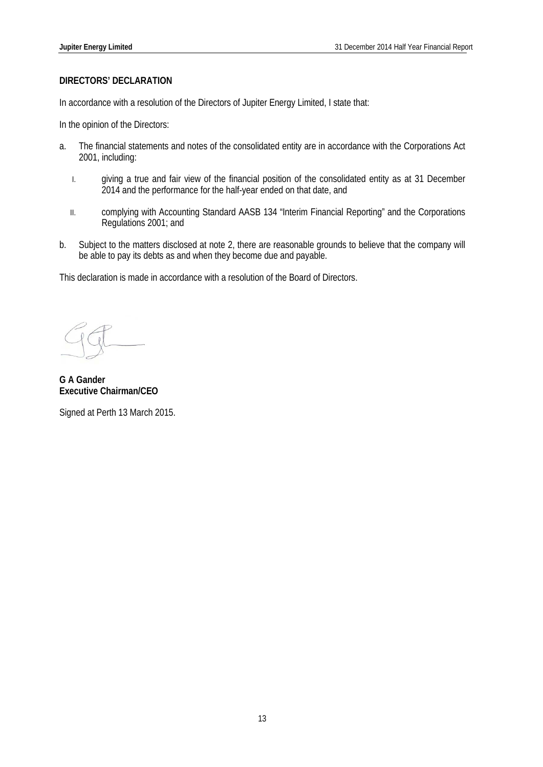## **DIRECTORS' DECLARATION**

In accordance with a resolution of the Directors of Jupiter Energy Limited, I state that:

In the opinion of the Directors:

- a. The financial statements and notes of the consolidated entity are in accordance with the Corporations Act 2001, including:
	- I. giving a true and fair view of the financial position of the consolidated entity as at 31 December 2014 and the performance for the half-year ended on that date, and
	- II. complying with Accounting Standard AASB 134 "Interim Financial Reporting" and the Corporations Regulations 2001; and
- b. Subject to the matters disclosed at note 2, there are reasonable grounds to believe that the company will be able to pay its debts as and when they become due and payable.

This declaration is made in accordance with a resolution of the Board of Directors.

**G A Gander Executive Chairman/CEO**

Signed at Perth 13 March 2015.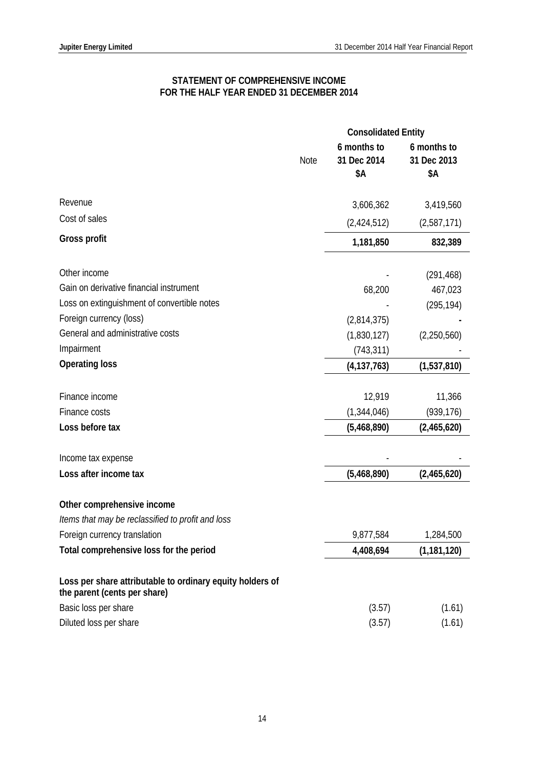## **STATEMENT OF COMPREHENSIVE INCOME FOR THE HALF YEAR ENDED 31 DECEMBER 2014**

|                                                                                           | <b>Consolidated Entity</b> |                                   |                                   |  |
|-------------------------------------------------------------------------------------------|----------------------------|-----------------------------------|-----------------------------------|--|
|                                                                                           | Note                       | 6 months to<br>31 Dec 2014<br>\$Α | 6 months to<br>31 Dec 2013<br>\$Α |  |
| Revenue                                                                                   |                            | 3,606,362                         | 3,419,560                         |  |
| Cost of sales                                                                             |                            | (2,424,512)                       | (2,587,171)                       |  |
| Gross profit                                                                              |                            | 1,181,850                         | 832,389                           |  |
| Other income                                                                              |                            |                                   | (291, 468)                        |  |
| Gain on derivative financial instrument                                                   |                            | 68,200                            | 467,023                           |  |
| Loss on extinguishment of convertible notes                                               |                            |                                   | (295, 194)                        |  |
| Foreign currency (loss)                                                                   |                            | (2,814,375)                       |                                   |  |
| General and administrative costs                                                          |                            | (1,830,127)                       | (2,250,560)                       |  |
| Impairment                                                                                |                            | (743, 311)                        |                                   |  |
| <b>Operating loss</b>                                                                     |                            | (4, 137, 763)                     | (1,537,810)                       |  |
| Finance income                                                                            |                            | 12,919                            | 11,366                            |  |
| Finance costs                                                                             |                            | (1,344,046)                       | (939, 176)                        |  |
| Loss before tax                                                                           |                            | (5,468,890)                       | (2,465,620)                       |  |
| Income tax expense                                                                        |                            |                                   |                                   |  |
| Loss after income tax                                                                     |                            | (5,468,890)                       | (2,465,620)                       |  |
| Other comprehensive income                                                                |                            |                                   |                                   |  |
| Items that may be reclassified to profit and loss                                         |                            |                                   |                                   |  |
| Foreign currency translation                                                              |                            | 9,877,584                         | 1,284,500                         |  |
| Total comprehensive loss for the period                                                   |                            | 4,408,694                         | (1, 181, 120)                     |  |
| Loss per share attributable to ordinary equity holders of<br>the parent (cents per share) |                            |                                   |                                   |  |
| Basic loss per share                                                                      |                            | (3.57)                            | (1.61)                            |  |
| Diluted loss per share                                                                    |                            | (3.57)                            | (1.61)                            |  |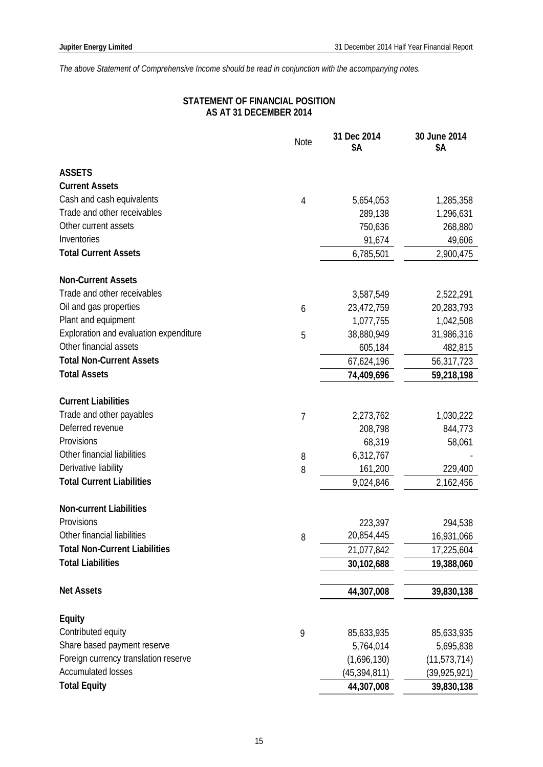*The above Statement of Comprehensive Income should be read in conjunction with the accompanying notes.*

## **STATEMENT OF FINANCIAL POSITION AS AT 31 DECEMBER 2014**

|                                        | Note | 31 Dec 2014<br>\$Α | 30 June 2014<br>\$Α |
|----------------------------------------|------|--------------------|---------------------|
| <b>ASSETS</b>                          |      |                    |                     |
| <b>Current Assets</b>                  |      |                    |                     |
| Cash and cash equivalents              | 4    | 5,654,053          | 1,285,358           |
| Trade and other receivables            |      | 289,138            | 1,296,631           |
| Other current assets                   |      | 750,636            | 268,880             |
| Inventories                            |      | 91,674             | 49,606              |
| <b>Total Current Assets</b>            |      | 6,785,501          | 2,900,475           |
| <b>Non-Current Assets</b>              |      |                    |                     |
| Trade and other receivables            |      | 3,587,549          | 2,522,291           |
| Oil and gas properties                 | 6    | 23,472,759         | 20,283,793          |
| Plant and equipment                    |      | 1,077,755          | 1,042,508           |
| Exploration and evaluation expenditure | 5    | 38,880,949         | 31,986,316          |
| Other financial assets                 |      | 605,184            | 482,815             |
| <b>Total Non-Current Assets</b>        |      | 67,624,196         | 56,317,723          |
| <b>Total Assets</b>                    |      | 74,409,696         | 59,218,198          |
| <b>Current Liabilities</b>             |      |                    |                     |
| Trade and other payables               | 7    | 2,273,762          | 1,030,222           |
| Deferred revenue                       |      | 208,798            | 844,773             |
| Provisions                             |      | 68,319             | 58,061              |
| Other financial liabilities            | 8    | 6,312,767          |                     |
| Derivative liability                   | 8    | 161,200            | 229,400             |
| <b>Total Current Liabilities</b>       |      | 9,024,846          | 2,162,456           |
| <b>Non-current Liabilities</b>         |      |                    |                     |
| Provisions                             |      | 223,397            | 294,538             |
| Other financial liabilities            | 8    | 20,854,445         | 16,931,066          |
| <b>Total Non-Current Liabilities</b>   |      | 21,077,842         | 17,225,604          |
| <b>Total Liabilities</b>               |      | 30,102,688         | 19,388,060          |
| <b>Net Assets</b>                      |      | 44,307,008         | 39,830,138          |
| Equity                                 |      |                    |                     |
| Contributed equity                     | 9    | 85,633,935         | 85,633,935          |
| Share based payment reserve            |      | 5,764,014          | 5,695,838           |
| Foreign currency translation reserve   |      | (1,696,130)        | (11, 573, 714)      |
| <b>Accumulated losses</b>              |      | (45, 394, 811)     | (39, 925, 921)      |
| <b>Total Equity</b>                    |      | 44,307,008         | 39,830,138          |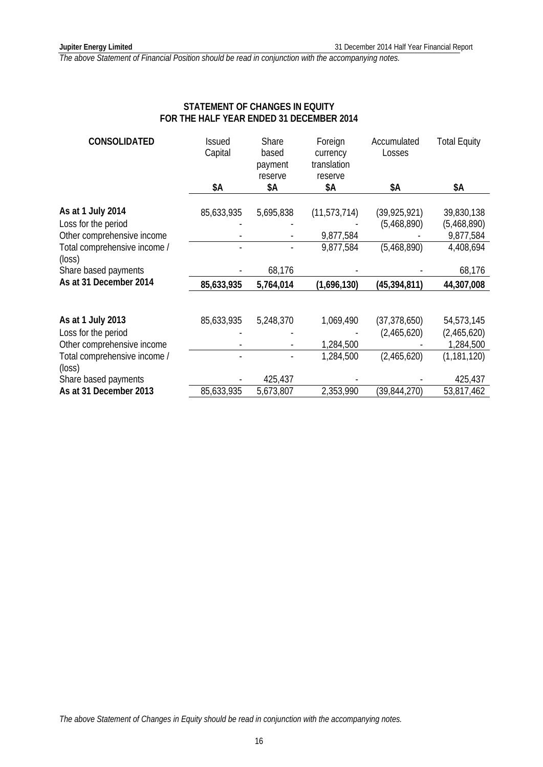*The above Statement of Financial Position should be read in conjunction with the accompanying notes.*

## **STATEMENT OF CHANGES IN EQUITY FOR THE HALF YEAR ENDED 31 DECEMBER 2014**

| <b>CONSOLIDATED</b>                    | <b>Issued</b><br>Capital | Share<br>based<br>payment | Foreign<br>currency<br>translation | Accumulated<br>Losses | <b>Total Equity</b> |
|----------------------------------------|--------------------------|---------------------------|------------------------------------|-----------------------|---------------------|
|                                        | \$Α                      | reserve<br>\$Α            | reserve<br>\$Α                     | \$Α                   | \$Α                 |
|                                        |                          |                           |                                    |                       |                     |
| As at 1 July 2014                      | 85,633,935               | 5,695,838                 | (11, 573, 714)                     | (39, 925, 921)        | 39,830,138          |
| Loss for the period                    |                          |                           |                                    | (5,468,890)           | (5,468,890)         |
| Other comprehensive income             |                          |                           | 9,877,584                          |                       | 9,877,584           |
| Total comprehensive income /<br>(loss) |                          |                           | 9,877,584                          | (5,468,890)           | 4,408,694           |
| Share based payments                   |                          | 68,176                    |                                    |                       | 68,176              |
| As at 31 December 2014                 | 85,633,935               | 5,764,014                 | (1,696,130)                        | (45, 394, 811)        | 44,307,008          |
|                                        |                          |                           |                                    |                       |                     |
| As at 1 July 2013                      | 85,633,935               | 5,248,370                 | 1,069,490                          | (37, 378, 650)        | 54,573,145          |
| Loss for the period                    |                          |                           |                                    | (2,465,620)           | (2,465,620)         |
| Other comprehensive income             |                          |                           | 1,284,500                          |                       | 1,284,500           |
| Total comprehensive income /<br>(loss) |                          |                           | 1,284,500                          | (2,465,620)           | (1, 181, 120)       |
| Share based payments                   |                          | 425,437                   |                                    |                       | 425,437             |
| As at 31 December 2013                 | 85,633,935               | 5,673,807                 | 2,353,990                          | (39, 844, 270)        | 53,817,462          |

*The above Statement of Changes in Equity should be read in conjunction with the accompanying notes.*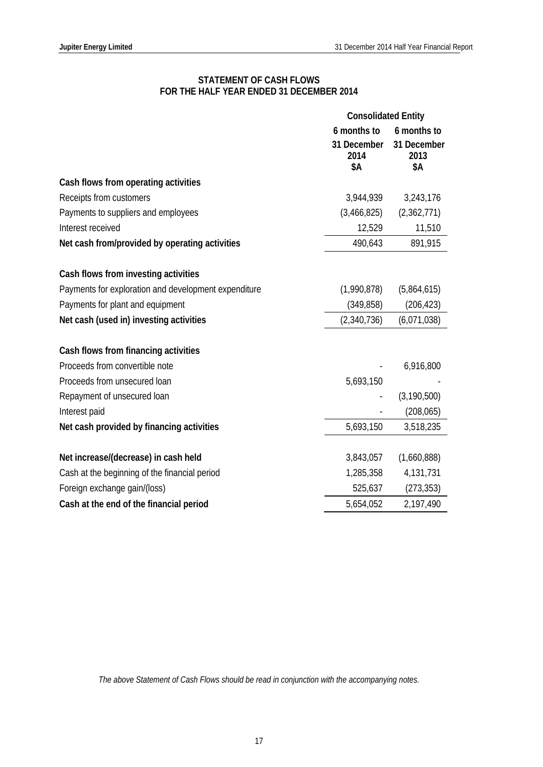## **STATEMENT OF CASH FLOWS FOR THE HALF YEAR ENDED 31 DECEMBER 2014**

|                                                                                       | <b>Consolidated Entity</b>                |                                           |  |
|---------------------------------------------------------------------------------------|-------------------------------------------|-------------------------------------------|--|
|                                                                                       | 6 months to<br>31 December<br>2014<br>\$Α | 6 months to<br>31 December<br>2013<br>\$Α |  |
| Cash flows from operating activities                                                  |                                           |                                           |  |
| Receipts from customers                                                               | 3,944,939                                 | 3,243,176                                 |  |
| Payments to suppliers and employees                                                   | (3,466,825)                               | (2,362,771)                               |  |
| Interest received                                                                     | 12,529                                    | 11,510                                    |  |
| Net cash from/provided by operating activities                                        | 490,643                                   | 891,915                                   |  |
| Cash flows from investing activities                                                  |                                           |                                           |  |
| Payments for exploration and development expenditure                                  | (1,990,878)                               | (5,864,615)                               |  |
| Payments for plant and equipment                                                      | (349, 858)                                | (206, 423)                                |  |
| Net cash (used in) investing activities                                               | (2,340,736)                               | (6,071,038)                               |  |
| Cash flows from financing activities                                                  |                                           |                                           |  |
| Proceeds from convertible note                                                        |                                           | 6,916,800                                 |  |
| Proceeds from unsecured loan                                                          | 5,693,150                                 |                                           |  |
| Repayment of unsecured loan                                                           |                                           | (3, 190, 500)                             |  |
| Interest paid                                                                         |                                           | (208, 065)                                |  |
| Net cash provided by financing activities                                             | 5,693,150                                 | 3,518,235                                 |  |
| Net increase/(decrease) in cash held<br>Cash at the beginning of the financial period | 3,843,057<br>1,285,358                    | (1,660,888)<br>4,131,731                  |  |
| Foreign exchange gain/(loss)                                                          | 525,637                                   | (273, 353)                                |  |
| Cash at the end of the financial period                                               | 5,654,052                                 | 2,197,490                                 |  |

*The above Statement of Cash Flows should be read in conjunction with the accompanying notes.*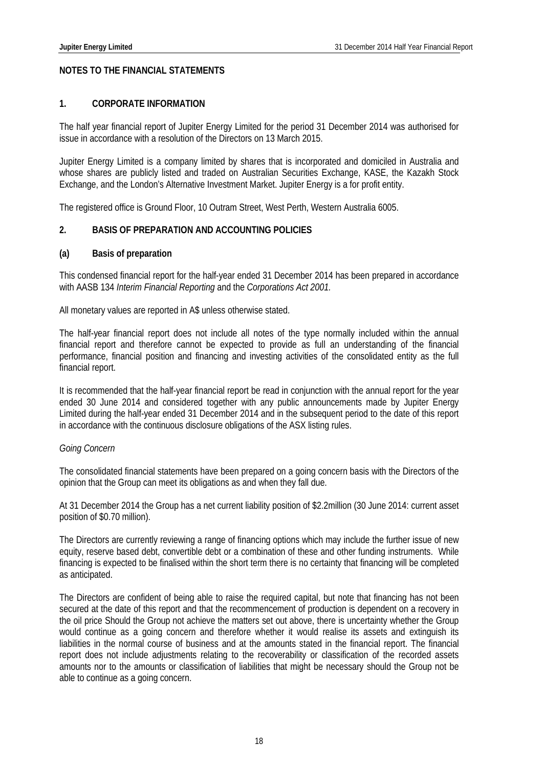## **NOTES TO THE FINANCIAL STATEMENTS**

## **1. CORPORATE INFORMATION**

The half year financial report of Jupiter Energy Limited for the period 31 December 2014 was authorised for issue in accordance with a resolution of the Directors on 13 March 2015.

Jupiter Energy Limited is a company limited by shares that is incorporated and domiciled in Australia and whose shares are publicly listed and traded on Australian Securities Exchange, KASE, the Kazakh Stock Exchange, and the London's Alternative Investment Market. Jupiter Energy is a for profit entity.

The registered office is Ground Floor, 10 Outram Street, West Perth, Western Australia 6005.

## **2. BASIS OF PREPARATION AND ACCOUNTING POLICIES**

## **(a) Basis of preparation**

This condensed financial report for the half-year ended 31 December 2014 has been prepared in accordance with AASB 134 *Interim Financial Reporting* and the *Corporations Act 2001.*

All monetary values are reported in A\$ unless otherwise stated.

The half-year financial report does not include all notes of the type normally included within the annual financial report and therefore cannot be expected to provide as full an understanding of the financial performance, financial position and financing and investing activities of the consolidated entity as the full financial report.

It is recommended that the half-year financial report be read in conjunction with the annual report for the year ended 30 June 2014 and considered together with any public announcements made by Jupiter Energy Limited during the half-year ended 31 December 2014 and in the subsequent period to the date of this report in accordance with the continuous disclosure obligations of the ASX listing rules.

#### *Going Concern*

The consolidated financial statements have been prepared on a going concern basis with the Directors of the opinion that the Group can meet its obligations as and when they fall due.

At 31 December 2014 the Group has a net current liability position of \$2.2million (30 June 2014: current asset position of \$0.70 million).

The Directors are currently reviewing a range of financing options which may include the further issue of new equity, reserve based debt, convertible debt or a combination of these and other funding instruments. While financing is expected to be finalised within the short term there is no certainty that financing will be completed as anticipated.

The Directors are confident of being able to raise the required capital, but note that financing has not been secured at the date of this report and that the recommencement of production is dependent on a recovery in the oil price Should the Group not achieve the matters set out above, there is uncertainty whether the Group would continue as a going concern and therefore whether it would realise its assets and extinguish its liabilities in the normal course of business and at the amounts stated in the financial report. The financial report does not include adjustments relating to the recoverability or classification of the recorded assets amounts nor to the amounts or classification of liabilities that might be necessary should the Group not be able to continue as a going concern.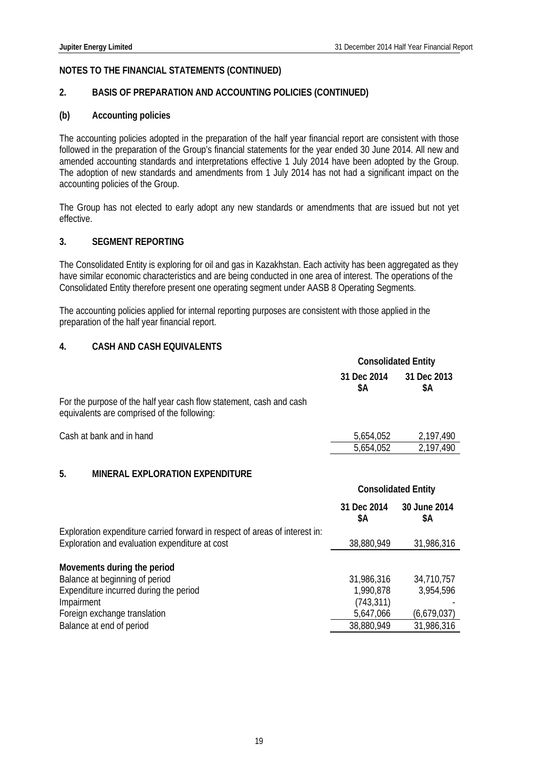## **2. BASIS OF PREPARATION AND ACCOUNTING POLICIES (CONTINUED)**

## **(b) Accounting policies**

The accounting policies adopted in the preparation of the half year financial report are consistent with those followed in the preparation of the Group's financial statements for the year ended 30 June 2014. All new and amended accounting standards and interpretations effective 1 July 2014 have been adopted by the Group. The adoption of new standards and amendments from 1 July 2014 has not had a significant impact on the accounting policies of the Group.

The Group has not elected to early adopt any new standards or amendments that are issued but not yet effective.

## **3. SEGMENT REPORTING**

The Consolidated Entity is exploring for oil and gas in Kazakhstan. Each activity has been aggregated as they have similar economic characteristics and are being conducted in one area of interest. The operations of the Consolidated Entity therefore present one operating segment under AASB 8 Operating Segments.

The accounting policies applied for internal reporting purposes are consistent with those applied in the preparation of the half year financial report.

## **4. CASH AND CASH EQUIVALENTS**

|                                                                                                                    | <b>Consolidated Entity</b> |                            |  |
|--------------------------------------------------------------------------------------------------------------------|----------------------------|----------------------------|--|
|                                                                                                                    | 31 Dec 2014<br>\$Α         | 31 Dec 2013<br>\$Α         |  |
| For the purpose of the half year cash flow statement, cash and cash<br>equivalents are comprised of the following: |                            |                            |  |
| Cash at bank and in hand                                                                                           | 5,654,052                  | 2,197,490                  |  |
|                                                                                                                    | 5,654,052                  | 2,197,490                  |  |
| 5.<br><b>MINERAL EXPLORATION EXPENDITURE</b>                                                                       |                            |                            |  |
|                                                                                                                    |                            | <b>Consolidated Entity</b> |  |
|                                                                                                                    | 31 Dec 2014                | 30 June 2014               |  |
|                                                                                                                    | \$Α                        | \$Α                        |  |
| Exploration expenditure carried forward in respect of areas of interest in:                                        |                            |                            |  |
| Exploration and evaluation expenditure at cost                                                                     | 38,880,949                 | 31,986,316                 |  |
| Movements during the period                                                                                        |                            |                            |  |
| Balance at beginning of period                                                                                     | 31,986,316                 | 34,710,757                 |  |
| Expenditure incurred during the period                                                                             | 1,990,878                  | 3,954,596                  |  |
| Impairment                                                                                                         | (743, 311)                 |                            |  |
| Foreign exchange translation<br>Balance at end of period                                                           | 5,647,066<br>38,880,949    | (6,679,037)<br>31,986,316  |  |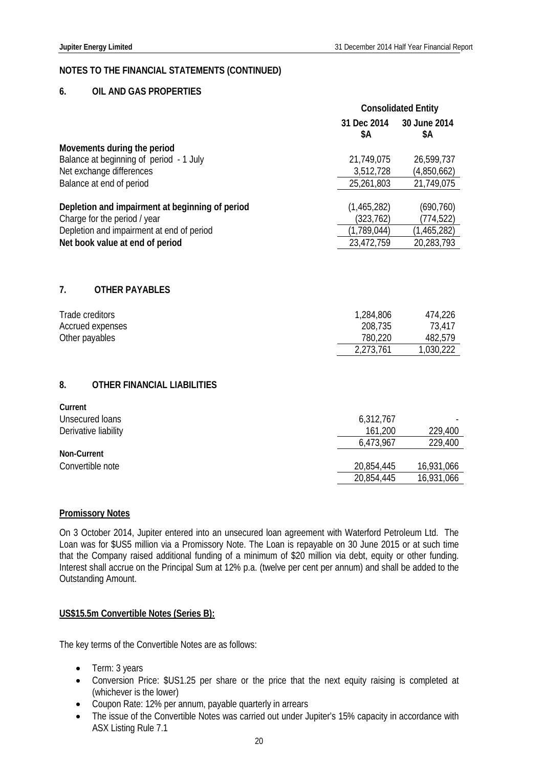## **6. OIL AND GAS PROPERTIES**

|                                                 | <b>Consolidated Entity</b> |                     |  |
|-------------------------------------------------|----------------------------|---------------------|--|
|                                                 | 31 Dec 2014<br>\$Α         | 30 June 2014<br>\$Α |  |
| Movements during the period                     |                            |                     |  |
| Balance at beginning of period - 1 July         | 21,749,075                 | 26,599,737          |  |
| Net exchange differences                        | 3,512,728                  | (4,850,662)         |  |
| Balance at end of period                        | 25,261,803                 | 21,749,075          |  |
| Depletion and impairment at beginning of period | (1,465,282)                | (690, 760)          |  |
| Charge for the period / year                    | (323, 762)                 | (774,522)           |  |
| Depletion and impairment at end of period       | (1,789,044)                | (1,465,282)         |  |
| Net book value at end of period                 | 23,472,759                 | 20,283,793          |  |
| 7.<br><b>OTHER PAYABLES</b>                     |                            |                     |  |
| Trade creditors                                 | 1,284,806                  | 474,226             |  |
| Accrued expenses                                | 208,735                    | 73,417              |  |
| Other payables                                  | 780,220                    | 482,579             |  |
|                                                 | 2,273,761                  | 1,030,222           |  |
| 8.<br>OTHER FINANCIAL LIABILITIES               |                            |                     |  |
| Current                                         |                            |                     |  |
| Unsecured loans                                 | 6,312,767                  |                     |  |
| Derivative liability                            | 161,200                    | 229,400             |  |

|                    | 6,473,967  | 229,400    |
|--------------------|------------|------------|
| <b>Non-Current</b> |            |            |
| Convertible note   | 20,854,445 | 16,931,066 |
|                    | 20,854,445 | 16,931,066 |

#### **Promissory Notes**

On 3 October 2014, Jupiter entered into an unsecured loan agreement with Waterford Petroleum Ltd. The Loan was for \$US5 million via a Promissory Note. The Loan is repayable on 30 June 2015 or at such time that the Company raised additional funding of a minimum of \$20 million via debt, equity or other funding. Interest shall accrue on the Principal Sum at 12% p.a. (twelve per cent per annum) and shall be added to the Outstanding Amount.

#### **US\$15.5m Convertible Notes (Series B):**

The key terms of the Convertible Notes are as follows:

- Term: 3 years
- Conversion Price: \$US1.25 per share or the price that the next equity raising is completed at (whichever is the lower)
- Coupon Rate: 12% per annum, payable quarterly in arrears
- The issue of the Convertible Notes was carried out under Jupiter's 15% capacity in accordance with ASX Listing Rule 7.1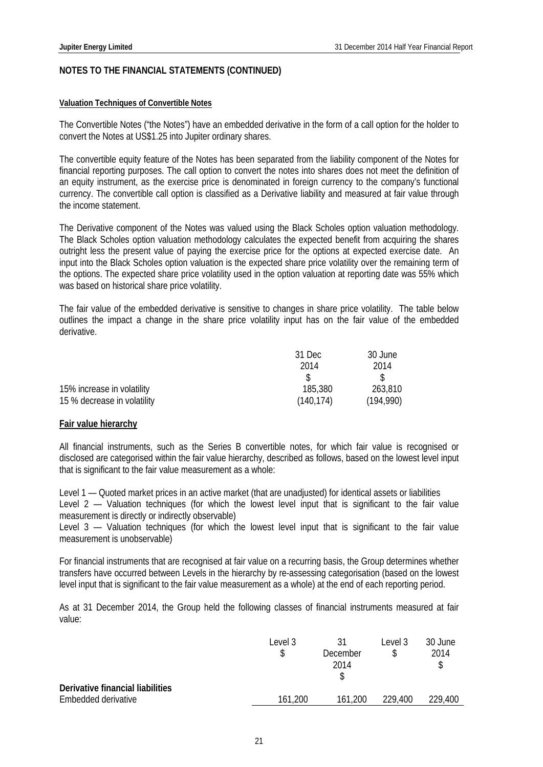#### **Valuation Techniques of Convertible Notes**

The Convertible Notes ("the Notes") have an embedded derivative in the form of a call option for the holder to convert the Notes at US\$1.25 into Jupiter ordinary shares.

The convertible equity feature of the Notes has been separated from the liability component of the Notes for financial reporting purposes. The call option to convert the notes into shares does not meet the definition of an equity instrument, as the exercise price is denominated in foreign currency to the company's functional currency. The convertible call option is classified as a Derivative liability and measured at fair value through the income statement.

The Derivative component of the Notes was valued using the Black Scholes option valuation methodology. The Black Scholes option valuation methodology calculates the expected benefit from acquiring the shares outright less the present value of paying the exercise price for the options at expected exercise date. An input into the Black Scholes option valuation is the expected share price volatility over the remaining term of the options. The expected share price volatility used in the option valuation at reporting date was 55% which was based on historical share price volatility.

The fair value of the embedded derivative is sensitive to changes in share price volatility. The table below outlines the impact a change in the share price volatility input has on the fair value of the embedded derivative.

|                             | 31 Dec    | 30 June   |
|-----------------------------|-----------|-----------|
|                             | 2014      | 2014      |
|                             |           |           |
| 15% increase in volatility  | 185,380   | 263,810   |
| 15 % decrease in volatility | (140.174) | (194,990) |

#### **Fair value hierarchy**

All financial instruments, such as the Series B convertible notes, for which fair value is recognised or disclosed are categorised within the fair value hierarchy, described as follows, based on the lowest level input that is significant to the fair value measurement as a whole:

Level 1 — Quoted market prices in an active market (that are unadjusted) for identical assets or liabilities Level 2 — Valuation techniques (for which the lowest level input that is significant to the fair value measurement is directly or indirectly observable)

Level 3 — Valuation techniques (for which the lowest level input that is significant to the fair value measurement is unobservable)

For financial instruments that are recognised at fair value on a recurring basis, the Group determines whether transfers have occurred between Levels in the hierarchy by re-assessing categorisation (based on the lowest level input that is significant to the fair value measurement as a whole) at the end of each reporting period.

As at 31 December 2014, the Group held the following classes of financial instruments measured at fair value:

|                                                         | Level 3 | ا?<br>December<br>2014 | Level 3 | 30 June<br>2014 |
|---------------------------------------------------------|---------|------------------------|---------|-----------------|
| Derivative financial liabilities<br>Embedded derivative | 161,200 | 161,200                | 229,400 | 229,400         |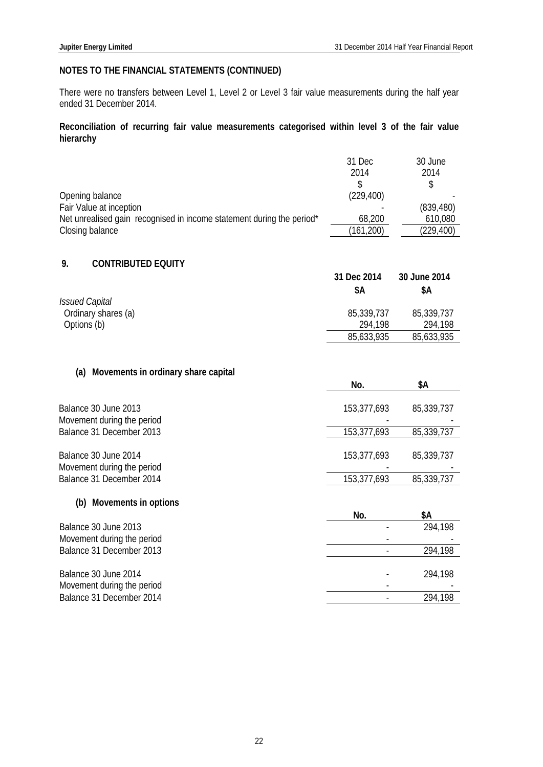There were no transfers between Level 1, Level 2 or Level 3 fair value measurements during the half year ended 31 December 2014.

## **Reconciliation of recurring fair value measurements categorised within level 3 of the fair value hierarchy**

|                                                                       | 31 Dec     | 30 June    |
|-----------------------------------------------------------------------|------------|------------|
|                                                                       | 2014       | 2014       |
|                                                                       |            |            |
| Opening balance                                                       | (229, 400) |            |
| Fair Value at inception                                               |            | (839, 480) |
| Net unrealised gain recognised in income statement during the period* | 68,200     | 610,080    |
| Closing balance                                                       | (161, 200) | (229, 400) |

## **9. CONTRIBUTED EQUITY**

|                                              | 31 Dec 2014<br>SΑ | 30 June 2014<br>\$A |
|----------------------------------------------|-------------------|---------------------|
| <b>Issued Capital</b><br>Ordinary shares (a) | 85,339,737        | 85,339,737          |
| Options (b)                                  | 294.198           | 294,198             |
|                                              | 85,633,935        | 85,633,935          |

## **(a) Movements in ordinary share capital**

|                                                                                | No.         | \$Α        |
|--------------------------------------------------------------------------------|-------------|------------|
| Balance 30 June 2013<br>Movement during the period<br>Balance 31 December 2013 | 153,377,693 | 85,339,737 |
|                                                                                | 153,377,693 | 85,339,737 |
| Balance 30 June 2014<br>Movement during the period<br>Balance 31 December 2014 | 153,377,693 | 85,339,737 |
|                                                                                | 153,377,693 | 85,339,737 |
|                                                                                |             |            |

## **(b) Movements in options**

|                                                                                | No. |         |
|--------------------------------------------------------------------------------|-----|---------|
| Balance 30 June 2013                                                           |     | 294,198 |
| Movement during the period                                                     |     |         |
| Balance 31 December 2013                                                       |     | 294,198 |
|                                                                                |     |         |
| Balance 30 June 2014<br>Movement during the period<br>Balance 31 December 2014 |     | 294.198 |
|                                                                                |     |         |
|                                                                                |     | 294.198 |
|                                                                                |     |         |